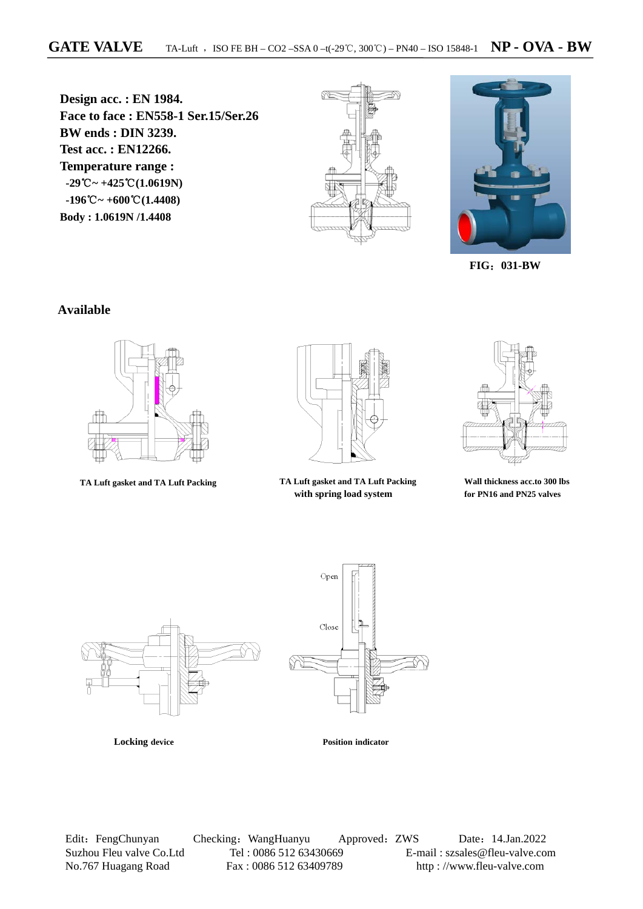**Design acc. : EN 1984. Face to face : EN558-1 Ser.15/Ser.26 BW ends : DIN 3239. Test acc. : EN12266. Temperature range : -29**℃**~ +425**℃**(1.0619N) -196**℃**~ +600**℃**(1.4408) Body : 1.0619N /1.4408**





**FIG**:**031-BW** 

#### **Available**





 **TA Luft gasket and TA Luft Packing TA Luft gasket and TA Luft Packing with spring load system**



**Wall thickness acc.to 300 lbs for PN16 and PN25 valves** 



Edit: FengChunyan Checking: WangHuanyu Approved: ZWS Date: 14.Jan.2022 Suzhou Fleu valve Co.Ltd Tel : 0086 512 63430669 E-mail : szsales@fleu-valve.com<br>No.767 Huagang Road Fax : 0086 512 63409789 http : //www.fleu-valve.com No.767 Huagang Road Fax : 0086 512 63409789 http : //www.fleu-valve.com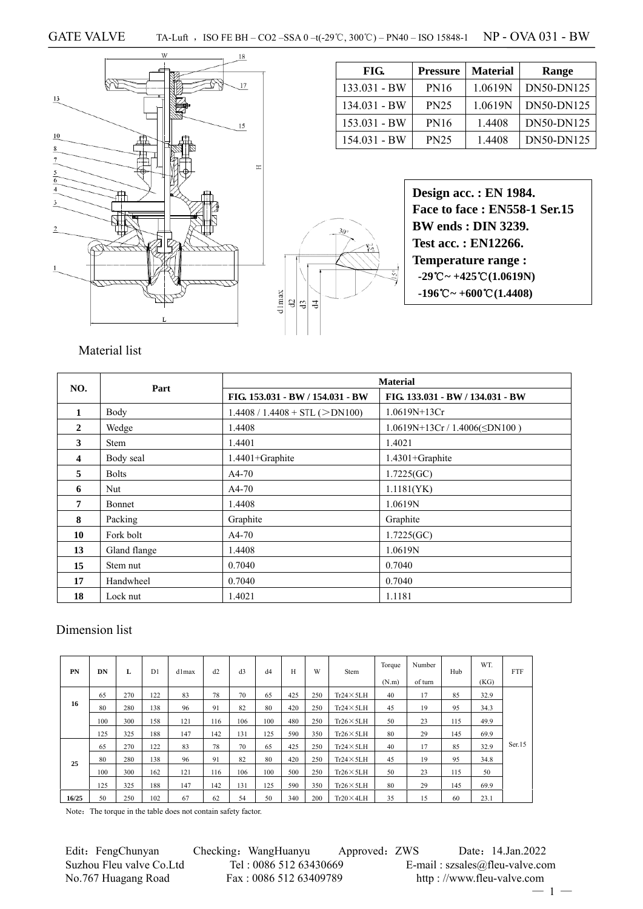



| FIG.         | <b>Pressure</b> | <b>Material</b> | Range      |
|--------------|-----------------|-----------------|------------|
| 133.031 - BW | <b>PN16</b>     | 1.0619N         | DN50-DN125 |
| 134.031 - BW | <b>PN25</b>     | 1.0619N         | DN50-DN125 |
| 153.031 - BW | <b>PN16</b>     | 1.4408          | DN50-DN125 |
| 154.031 - BW | <b>PN25</b>     | 1.4408          | DN50-DN125 |

**Design acc. : EN 1984. Face to face : EN558-1 Ser.15 BW ends : DIN 3239. Test acc. : EN12266. Temperature range : -29**℃**~ +425**℃**(1.0619N) -196**℃**~ +600**℃**(1.4408)** 

### Material list

| NO.                     | Part          |                                  | <b>Material</b>                     |
|-------------------------|---------------|----------------------------------|-------------------------------------|
|                         |               | FIG. 153.031 - BW / 154.031 - BW | FIG. 133.031 - BW / 134.031 - BW    |
| 1                       | Body          | $1.4408 / 1.4408 + STL (>DN100)$ | $1.0619N+13Cr$                      |
| $\mathbf{2}$            | Wedge         | 1.4408                           | $1.0619N+13Cr / 1.4006(\leq DN100)$ |
| 3                       | <b>Stem</b>   | 1.4401                           | 1.4021                              |
| $\overline{\mathbf{4}}$ | Body seal     | $1.4401 +$ Graphite              | $1.4301 +$ Graphite                 |
| 5                       | <b>Bolts</b>  | $A4-70$                          | 1.7225(GC)                          |
| 6                       | Nut           | $A4-70$                          | 1.1181(YK)                          |
| 7                       | <b>Bonnet</b> | 1.4408                           | 1.0619N                             |
| 8                       | Packing       | Graphite                         | Graphite                            |
| 10                      | Fork bolt     | $A4-70$                          | 1.7225(GC)                          |
| 13                      | Gland flange  | 1.4408                           | 1.0619N                             |
| 15                      | Stem nut      | 0.7040                           | 0.7040                              |
| 17                      | Handwheel     | 0.7040                           | 0.7040                              |
| 18                      | Lock nut      | 1.4021                           | 1.1181                              |

#### Dimension list

| PN    | DN  | L   | D <sub>1</sub> | d1max | d2  | d3  | d4  | H   | W   | Stem              | Torque | Number  | Hub | WT.  | <b>FTF</b> |
|-------|-----|-----|----------------|-------|-----|-----|-----|-----|-----|-------------------|--------|---------|-----|------|------------|
|       |     |     |                |       |     |     |     |     |     |                   | (N.m)  | of turn |     | (KG) |            |
|       | 65  | 270 | 122            | 83    | 78  | 70  | 65  | 425 | 250 | $Tr24 \times 5LH$ | 40     | 17      | 85  | 32.9 |            |
| 16    | 80  | 280 | 138            | 96    | 91  | 82  | 80  | 420 | 250 | $Tr24 \times 5LH$ | 45     | 19      | 95  | 34.3 |            |
|       | 100 | 300 | 158            | 121   | 116 | 106 | 100 | 480 | 250 | $Tr26 \times 5LH$ | 50     | 23      | 115 | 49.9 |            |
|       | 125 | 325 | 188            | 147   | 142 | 131 | 125 | 590 | 350 | $Tr26 \times 5LH$ | 80     | 29      | 145 | 69.9 |            |
|       | 65  | 270 | 122            | 83    | 78  | 70  | 65  | 425 | 250 | $Tr24 \times 5LH$ | 40     | 17      | 85  | 32.9 | Ser.15     |
| 25    | 80  | 280 | 138            | 96    | 91  | 82  | 80  | 420 | 250 | $Tr24 \times 5LH$ | 45     | 19      | 95  | 34.8 |            |
|       | 100 | 300 | 162            | 121   | 116 | 106 | 100 | 500 | 250 | $Tr26 \times 5LH$ | 50     | 23      | 115 | 50   |            |
|       | 125 | 325 | 188            | 147   | 142 | 131 | 125 | 590 | 350 | $Tr26 \times 5LH$ | 80     | 29      | 145 | 69.9 |            |
| 16/25 | 50  | 250 | 102            | 67    | 62  | 54  | 50  | 340 | 200 | $Tr20 \times 4LH$ | 35     | 15      | 60  | 23.1 |            |

Note: The torque in the table does not contain safety factor.

Edit: FengChunyan Checking: WangHuanyu Approved: ZWS Date: 14.Jan.2022 Suzhou Fleu valve Co.Ltd Tel : 0086 512 63430669 E-mail : szsales@fleu-valve.com<br>No.767 Huagang Road Fax : 0086 512 63409789 http : //www.fleu-valve.com

http : //www.fleu-valve.com

 $-1 -$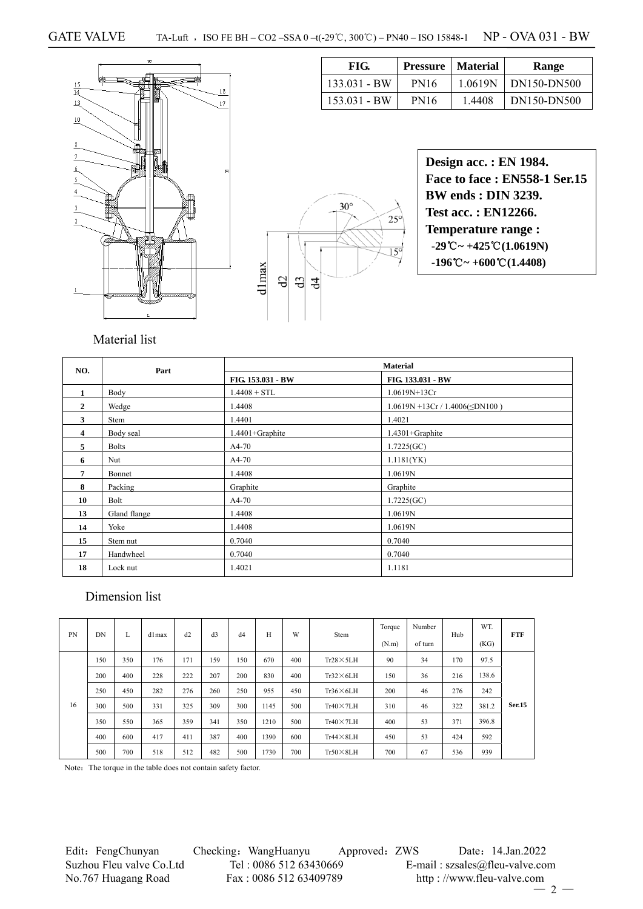

| FIG.           |             | <b>Pressure</b>   Material | Range       |
|----------------|-------------|----------------------------|-------------|
| $133.031 - BW$ | <b>PN16</b> | 1.0619N                    | DN150-DN500 |
| $153.031 - BW$ | <b>PN16</b> | 1.4408                     | DN150-DN500 |

 $\sqrt{ }$ 

|                            | <b>Des</b>  |
|----------------------------|-------------|
|                            | Fac         |
|                            | <b>BW</b>   |
| $30^\circ$<br>$25^{\circ}$ | <b>Test</b> |
|                            | <b>Ten</b>  |
| $15^{\circ}$               | $-29$       |
|                            | $-19$       |
| 워 워 최                      |             |
|                            |             |
|                            |             |
|                            |             |

| Design acc. : EN 1984.                                          |
|-----------------------------------------------------------------|
| Face to face: EN558-1 Ser.15                                    |
| <b>BW</b> ends : <b>DIN</b> 3239.                               |
| <b>Test acc.: EN12266.</b>                                      |
| <b>Temperature range:</b>                                       |
| $-29^{\circ}\text{C} \sim +425^{\circ}\text{C}(1.0619\text{N})$ |
| $-196^{\circ}\text{C} \sim +600^{\circ}\text{C} (1.4408)$       |
|                                                                 |

Material list

| NO.            | Part         | <b>Material</b>   |                                       |  |  |  |  |  |  |
|----------------|--------------|-------------------|---------------------------------------|--|--|--|--|--|--|
|                |              | FIG. 153.031 - BW | FIG. 133.031 - BW                     |  |  |  |  |  |  |
| $\mathbf{1}$   | Body         | $1.4408 + STL$    | 1.0619N+13Cr                          |  |  |  |  |  |  |
| $\overline{2}$ | Wedge        | 1.4408            | $1.0619N + 13Cr / 1.4006(\leq DN100)$ |  |  |  |  |  |  |
| 3              | Stem         | 1.4401            | 1.4021                                |  |  |  |  |  |  |
| 4              | Body seal    | 1.4401+Graphite   | 1.4301+Graphite                       |  |  |  |  |  |  |
| 5              | <b>Bolts</b> | A4-70             | 1.7225(GC)                            |  |  |  |  |  |  |
| 6              | Nut          | $A4-70$           | 1.1181(YK)                            |  |  |  |  |  |  |
| $\overline{7}$ | Bonnet       | 1.4408            | 1.0619N                               |  |  |  |  |  |  |
| 8              | Packing      | Graphite          | Graphite                              |  |  |  |  |  |  |
| 10             | Bolt         | A4-70             | 1.7225(GC)                            |  |  |  |  |  |  |
| 13             | Gland flange | 1.4408            | 1.0619N                               |  |  |  |  |  |  |
| 14             | Yoke         | 1.4408            | 1.0619N                               |  |  |  |  |  |  |
| 15             | Stem nut     | 0.7040            | 0.7040                                |  |  |  |  |  |  |
| 17             | Handwheel    | 0.7040            | 0.7040                                |  |  |  |  |  |  |
| 18             | Lock nut     | 1.4021            | 1.1181                                |  |  |  |  |  |  |

d1max

#### Dimension list

| <b>PN</b> | DN  | L.  | d1max | d2  | d <sub>3</sub> | d4  | H    | W   | Stem              | Torque<br>(N.m) | Number<br>of turn | Hub | WT.<br>(KG) | <b>FTF</b>    |
|-----------|-----|-----|-------|-----|----------------|-----|------|-----|-------------------|-----------------|-------------------|-----|-------------|---------------|
|           | 150 | 350 | 176   | 171 | 159            | 150 | 670  | 400 | $Tr28 \times 5LH$ | 90              | 34                | 170 | 97.5        |               |
|           | 200 | 400 | 228   | 222 | 207            | 200 | 830  | 400 | $Tr32\times 6LH$  | 150             | 36                | 216 | 138.6       |               |
|           | 250 | 450 | 282   | 276 | 260            | 250 | 955  | 450 | $Tr36 \times 6LH$ | 200             | 46                | 276 | 242         |               |
| 16        | 300 | 500 | 331   | 325 | 309            | 300 | 1145 | 500 | $Tr40 \times 7LH$ | 310             | 46                | 322 | 381.2       | <b>Ser.15</b> |
|           | 350 | 550 | 365   | 359 | 341            | 350 | 1210 | 500 | $Tr40 \times 7LH$ | 400             | 53                | 371 | 396.8       |               |
|           | 400 | 600 | 417   | 411 | 387            | 400 | 1390 | 600 | $Tr44 \times 8LH$ | 450             | 53                | 424 | 592         |               |
|           | 500 | 700 | 518   | 512 | 482            | 500 | 1730 | 700 | $Tr50 \times 8LH$ | 700             | 67                | 536 | 939         |               |

Note: The torque in the table does not contain safety factor.

Edit: FengChunyan Checking: WangHuanyu Approved: ZWS Date: 14.Jan.2022 Suzhou Fleu valve Co.Ltd Tel : 0086 512 63430669 E-mail : szsales@fleu-valve.com<br>No.767 Huagang Road Fax : 0086 512 63409789 http : //www.fleu-valve.com

http : //www.fleu-valve.com  $-2-$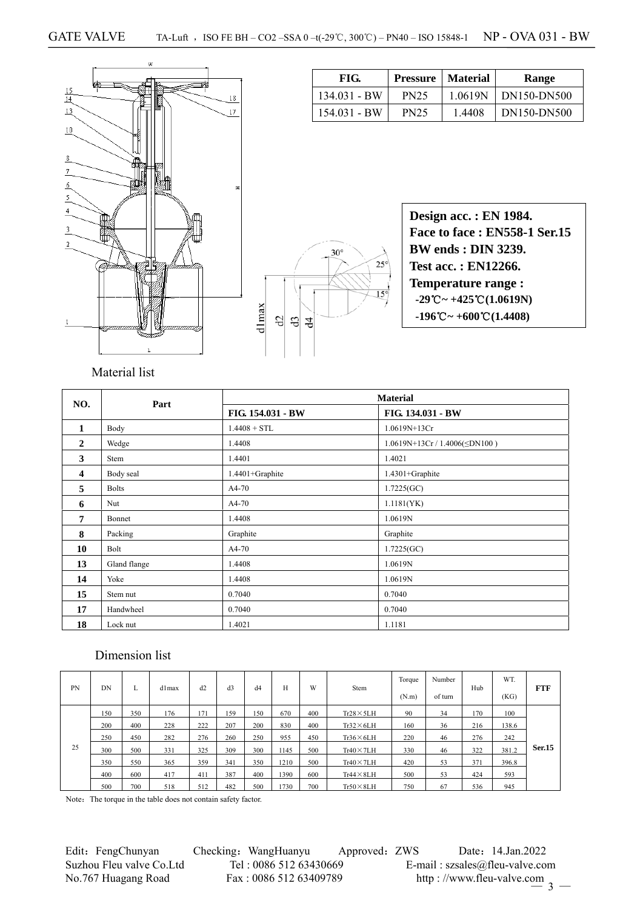

| 134.031 - BW | <b>PN25</b> | 1.0619N | DN150-DN500 |
|--------------|-------------|---------|-------------|
| 154.031 - BW | <b>PN25</b> | 1.4408  | DN150-DN500 |
|              |             |         |             |
|              |             |         |             |
|              |             |         |             |

FIG. Pressure | Material | Range



**Design acc. : EN 1984. Face to face : EN558-1 Ser.15 BW ends : DIN 3239. Test acc. : EN12266. Temperature range : -29**℃**~ +425**℃**(1.0619N) -196**℃**~ +600**℃**(1.4408)** 

# Material list

| NO.                     | Part         |                   | <b>Material</b>                   |
|-------------------------|--------------|-------------------|-----------------------------------|
|                         |              | FIG. 154.031 - BW | FIG. 134.031 - BW                 |
| $\mathbf{1}$            | Body         | $1.4408 + STL$    | 1.0619N+13Cr                      |
| $\mathbf{2}$            | Wedge        | 1.4408            | $1.0619N+13Cr/1.4006(\leq DN100)$ |
| 3                       | Stem         | 1.4401            | 1.4021                            |
| $\overline{\mathbf{4}}$ | Body seal    | 1.4401+Graphite   | 1.4301+Graphite                   |
| 5                       | <b>Bolts</b> | A4-70             | 1.7225(GC)                        |
| 6                       | Nut          | A4-70             | 1.1181(YK)                        |
| 7                       | Bonnet       | 1.4408            | 1.0619N                           |
| 8                       | Packing      | Graphite          | Graphite                          |
| 10                      | Bolt         | A4-70             | 1.7225(GC)                        |
| 13                      | Gland flange | 1.4408            | 1.0619N                           |
| 14                      | Yoke         | 1.4408            | 1.0619N                           |
| 15                      | Stem nut     | 0.7040            | 0.7040                            |
| 17                      | Handwheel    | 0.7040            | 0.7040                            |
| 18                      | Lock nut     | 1.4021            | 1.1181                            |

## Dimension list

| PN | DN  | L   | d1max | d2  | d3  | d4  | Н    | W   | Stem              | Torque<br>(N.m) | Number<br>of turn | Hub | WT.<br>(KG) | FTF    |
|----|-----|-----|-------|-----|-----|-----|------|-----|-------------------|-----------------|-------------------|-----|-------------|--------|
|    | 150 | 350 | 176   | 171 | 159 | 150 | 670  | 400 | $Tr28 \times 5LH$ | 90              | 34                | 170 | 100         |        |
|    | 200 | 400 | 228   | 222 | 207 | 200 | 830  | 400 | $Tr32\times 6LH$  | 160             | 36                | 216 | 138.6       |        |
|    | 250 | 450 | 282   | 276 | 260 | 250 | 955  | 450 | $Tr36\times 6LH$  | 220             | 46                | 276 | 242         |        |
| 25 | 300 | 500 | 331   | 325 | 309 | 300 | 1145 | 500 | $Tr40 \times 7LH$ | 330             | 46                | 322 | 381.2       | Ser.15 |
|    | 350 | 550 | 365   | 359 | 341 | 350 | 1210 | 500 | $Tr40 \times 7LH$ | 420             | 53                | 371 | 396.8       |        |
|    | 400 | 600 | 417   | 411 | 387 | 400 | 1390 | 600 | $Tr44 \times 8LH$ | 500             | 53                | 424 | 593         |        |
|    | 500 | 700 | 518   | 512 | 482 | 500 | 1730 | 700 | $Tr50 \times 8LH$ | 750             | 67                | 536 | 945         |        |

Note: The torque in the table does not contain safety factor.

Edit: FengChunyan Checking: WangHuanyu Approved: ZWS Date: 14.Jan.2022<br>Suzhou Fleu valve Co.Ltd Tel: 0086 512 63430669 E-mail: szsales@fleu-valve.co Suzhou Fleu valve Co.Ltd Tel : 0086 512 63430669 E-mail : szsales@fleu-valve.com<br>No.767 Huagang Road Fax : 0086 512 63409789 http : //www.fleu-valve.com No.767 Huagang Road Fax : 0086 512 63409789 http://www.fleu-valve.com 3 —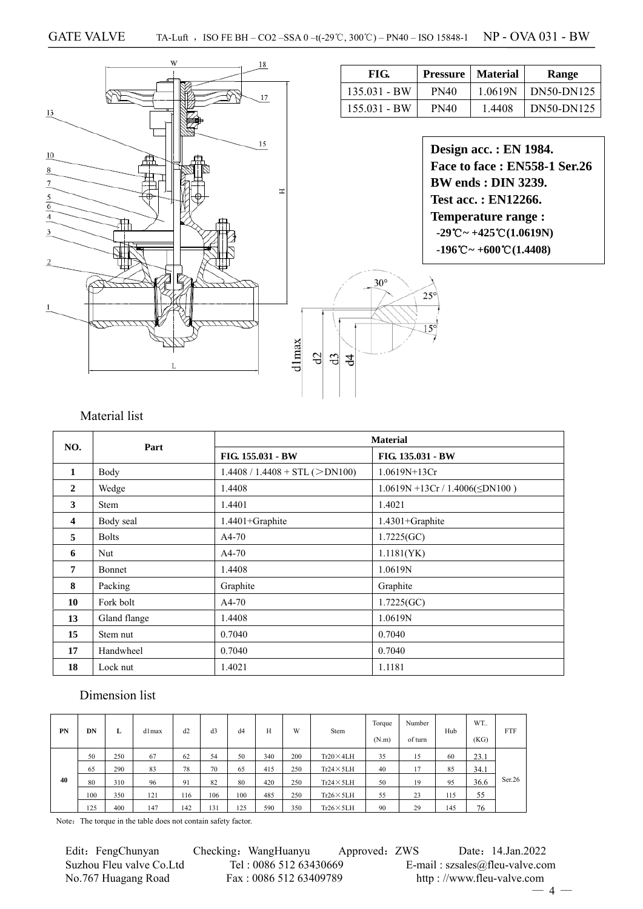

## Material list

| NO. | Part          |                                  | <b>Material</b>                       |
|-----|---------------|----------------------------------|---------------------------------------|
|     |               | FIG. 155.031 - BW                | FIG. 135.031 - BW                     |
| 1   | Body          | $1.4408 / 1.4408 + STL (>DN100)$ | $1.0619N+13Cr$                        |
| 2   | Wedge         | 1.4408                           | $1.0619N + 13Cr / 1.4006(\leq DN100)$ |
| 3   | <b>Stem</b>   | 1.4401                           | 1.4021                                |
| 4   | Body seal     | $1.4401 +$ Graphite              | $1.4301 +$ Graphite                   |
| 5   | <b>Bolts</b>  | $A4-70$                          | 1.7225(GC)                            |
| 6   | Nut           | $A4-70$                          | 1.1181(YK)                            |
| 7   | <b>Bonnet</b> | 1.4408                           | 1.0619N                               |
| 8   | Packing       | Graphite                         | Graphite                              |
| 10  | Fork bolt     | $A4-70$                          | 1.7225(GC)                            |
| 13  | Gland flange  | 1.4408                           | 1.0619N                               |
| 15  | Stem nut      | 0.7040                           | 0.7040                                |
| 17  | Handwheel     | 0.7040                           | 0.7040                                |
| 18  | Lock nut      | 1.4021                           | 1.1181                                |

#### Dimension list

| PN | DN  | L   | d1max | d2  | d <sub>3</sub> | d4  | Н   | W   | Stem              | Torque<br>(N.m) | Number<br>of turn | Hub | WT.<br>(KG) | <b>FTF</b> |
|----|-----|-----|-------|-----|----------------|-----|-----|-----|-------------------|-----------------|-------------------|-----|-------------|------------|
| 40 | 50  | 250 | 67    | 62  | 54             | 50  | 340 | 200 | $Tr20\times4LH$   | 35              | 15                | 60  | 23.1        |            |
|    | 65  | 290 | 83    | 78  | 70             | 65  | 415 | 250 | $Tr24 \times 5LH$ | 40              | 17                | 85  | 34.1        |            |
|    | 80  | 310 | 96    | 91  | 82             | 80  | 420 | 250 | $Tr24 \times 5LH$ | 50              | 19                | 95  | 36.6        | Ser.26     |
|    | 100 | 350 | 121   | 116 | 106            | 100 | 485 | 250 | $Tr26 \times 5LH$ | 55              | 23                | 115 | 55          |            |
|    | 125 | 400 | 147   | 142 | 131            | 125 | 590 | 350 | $Tr26 \times 5LH$ | 90              | 29                | 145 | 76          |            |

Note: The torque in the table does not contain safety factor.

Suzhou Fleu valve Co.Ltd Tel : 0086 512 63430669 E-mail : szsales@fleu-valve.com<br>No.767 Huagang Road Fax : 0086 512 63409789 http : //www.fleu-valve.com

Edit: FengChunyan Checking: WangHuanyu Approved: ZWS Date: 14.Jan.2022 http : //www.fleu-valve.com

 $-4 -$